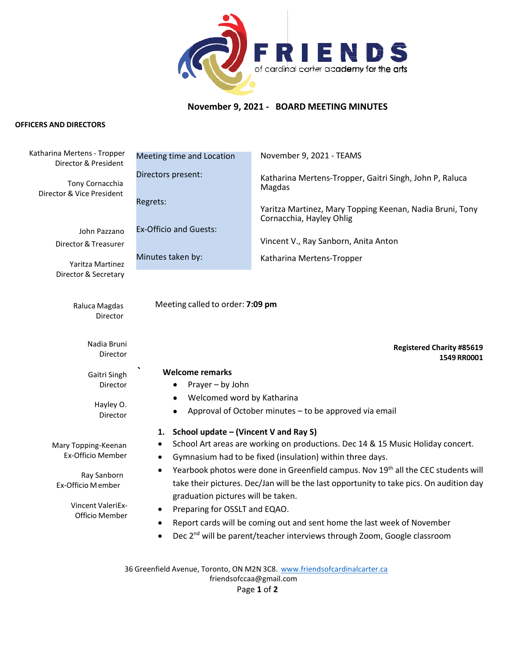

# **November 9, 2021 - BOARD MEETING MINUTES**

## **OFFICERS AND DIRECTORS**

| Katharina Mertens - Tropper<br>Director & President | Meeting time and Location                                                                                                                                                                      | November 9, 2021 - TEAMS                                                             |  |
|-----------------------------------------------------|------------------------------------------------------------------------------------------------------------------------------------------------------------------------------------------------|--------------------------------------------------------------------------------------|--|
| Tony Cornacchia<br>Director & Vice President        | Directors present:                                                                                                                                                                             | Katharina Mertens-Tropper, Gaitri Singh, John P, Raluca<br>Magdas                    |  |
|                                                     | Regrets:                                                                                                                                                                                       | Yaritza Martinez, Mary Topping Keenan, Nadia Bruni, Tony<br>Cornacchia, Hayley Ohlig |  |
| John Pazzano                                        | <b>Ex-Officio and Guests:</b>                                                                                                                                                                  |                                                                                      |  |
| Director & Treasurer                                |                                                                                                                                                                                                | Vincent V., Ray Sanborn, Anita Anton                                                 |  |
| Yaritza Martinez                                    | Minutes taken by:                                                                                                                                                                              | Katharina Mertens-Tropper                                                            |  |
| Director & Secretary                                |                                                                                                                                                                                                |                                                                                      |  |
|                                                     |                                                                                                                                                                                                |                                                                                      |  |
| Raluca Magdas                                       | Meeting called to order: 7:09 pm                                                                                                                                                               |                                                                                      |  |
| Director                                            |                                                                                                                                                                                                |                                                                                      |  |
| Nadia Bruni                                         |                                                                                                                                                                                                |                                                                                      |  |
| Director                                            |                                                                                                                                                                                                | <b>Registered Charity #85619</b><br>1549 RR0001                                      |  |
| Gaitri Singh                                        | <b>Welcome remarks</b>                                                                                                                                                                         |                                                                                      |  |
| Director                                            | Prayer - by John                                                                                                                                                                               |                                                                                      |  |
| Hayley O.<br>Director                               | Welcomed word by Katharina<br>٠                                                                                                                                                                |                                                                                      |  |
|                                                     | Approval of October minutes - to be approved via email                                                                                                                                         |                                                                                      |  |
|                                                     | School update - (Vincent V and Ray S)<br>1.                                                                                                                                                    |                                                                                      |  |
| Mary Topping-Keenan<br><b>Ex-Officio Member</b>     | School Art areas are working on productions. Dec 14 & 15 Music Holiday concert.<br>٠                                                                                                           |                                                                                      |  |
| $\bullet$                                           |                                                                                                                                                                                                | Gymnasium had to be fixed (insulation) within three days.                            |  |
| Ray Sanborn<br>Ex-Officio Member                    | Yearbook photos were done in Greenfield campus. Nov 19 <sup>th</sup> all the CEC students will<br>٠<br>take their pictures. Dec/Jan will be the last opportunity to take pics. On audition day |                                                                                      |  |
|                                                     | graduation pictures will be taken.                                                                                                                                                             |                                                                                      |  |
| Vincent ValeriEx-<br>Officio Member                 | Preparing for OSSLT and EQAO.<br>٠                                                                                                                                                             |                                                                                      |  |
|                                                     | Report cards will be coming out and sent home the last week of November                                                                                                                        |                                                                                      |  |
|                                                     | Dec 2 <sup>nd</sup> will be parent/teacher interviews through Zoom, Google classroom<br>$\bullet$                                                                                              |                                                                                      |  |
|                                                     |                                                                                                                                                                                                |                                                                                      |  |
|                                                     |                                                                                                                                                                                                | 36 Greenfield Avenue, Toronto, ON M2N 3C8. www.friendsofcardinalcarter.ca            |  |
|                                                     |                                                                                                                                                                                                | friendsofccaa@gmail.com                                                              |  |

Page **1** of **2**